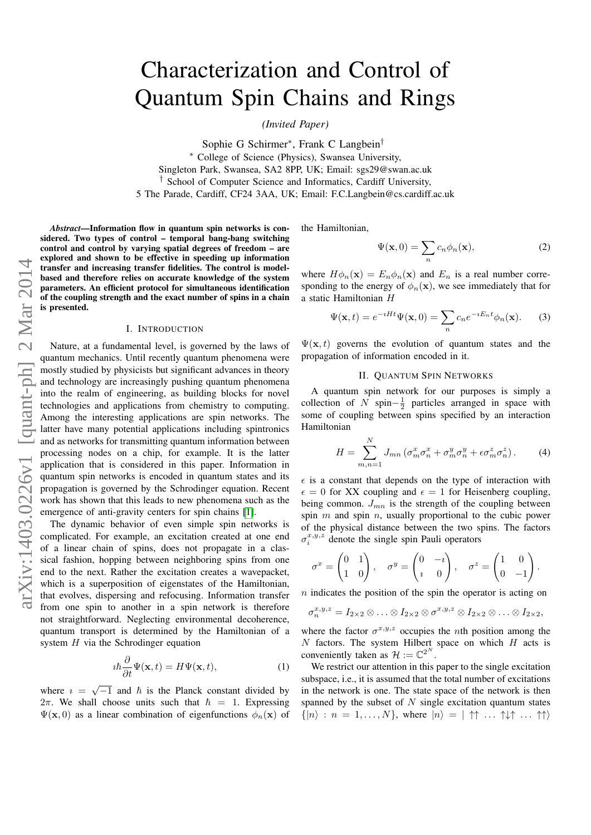# Characterization and Control of Quantum Spin Chains and Rings

*(Invited Paper)*

Sophie G Schirmer<sup>∗</sup> , Frank C Langbein† <sup>∗</sup> College of Science (Physics), Swansea University, Singleton Park, Swansea, SA2 8PP, UK; Email: sgs29@swan.ac.uk † School of Computer Science and Informatics, Cardiff University, 5 The Parade, Cardiff, CF24 3AA, UK; Email: F.C.Langbein@cs.cardiff.ac.uk

*Abstract*—Information flow in quantum spin networks is considered. Two types of control – temporal bang-bang switching control and control by varying spatial degrees of freedom – are explored and shown to be effective in speeding up information transfer and increasing transfer fidelities. The control is modelbased and therefore relies on accurate knowledge of the system parameters. An efficient protocol for simultaneous identification of the coupling strength and the exact number of spins in a chain is presented.

# I. INTRODUCTION

Nature, at a fundamental level, is governed by the laws of quantum mechanics. Until recently quantum phenomena were mostly studied by physicists but significant advances in theory and technology are increasingly pushing quantum phenomena into the realm of engineering, as building blocks for novel technologies and applications from chemistry to computing. Among the interesting applications are spin networks. The latter have many potential applications including spintronics and as networks for transmitting quantum information between processing nodes on a chip, for example. It is the latter application that is considered in this paper. Information in quantum spin networks is encoded in quantum states and its propagation is governed by the Schrodinger equation. Recent work has shown that this leads to new phenomena such as the emergence of anti-gravity centers for spin chains [\[1\]](#page-4-0).

The dynamic behavior of even simple spin networks is complicated. For example, an excitation created at one end of a linear chain of spins, does not propagate in a classical fashion, hopping between neighboring spins from one end to the next. Rather the excitation creates a wavepacket, which is a superposition of eigenstates of the Hamiltonian, that evolves, dispersing and refocusing. Information transfer from one spin to another in a spin network is therefore not straightforward. Neglecting environmental decoherence, quantum transport is determined by the Hamiltonian of a system  $H$  via the Schrodinger equation

$$
i\hbar \frac{\partial}{\partial t} \Psi(\mathbf{x}, t) = H \Psi(\mathbf{x}, t), \tag{1}
$$

where  $i = \sqrt{-1}$  and  $\hbar$  is the Planck constant divided by 2π. We shall choose units such that  $\hbar = 1$ . Expressing  $\Psi(\mathbf{x},0)$  as a linear combination of eigenfunctions  $\phi_n(\mathbf{x})$  of the Hamiltonian,

$$
\Psi(\mathbf{x},0) = \sum_{n} c_n \phi_n(\mathbf{x}),\tag{2}
$$

where  $H\phi_n(\mathbf{x}) = E_n\phi_n(\mathbf{x})$  and  $E_n$  is a real number corresponding to the energy of  $\phi_n(\mathbf{x})$ , we see immediately that for a static Hamiltonian H

$$
\Psi(\mathbf{x},t) = e^{-iHt}\Psi(\mathbf{x},0) = \sum_{n} c_n e^{-iE_n t} \phi_n(\mathbf{x}).
$$
 (3)

 $\Psi(\mathbf{x}, t)$  governs the evolution of quantum states and the propagation of information encoded in it.

# II. QUANTUM SPIN NETWORKS

A quantum spin network for our purposes is simply a collection of N spin $-\frac{1}{2}$  particles arranged in space with some of coupling between spins specified by an interaction Hamiltonian

$$
H = \sum_{m,n=1}^{N} J_{mn} \left( \sigma_m^x \sigma_n^x + \sigma_m^y \sigma_n^y + \epsilon \sigma_m^z \sigma_n^z \right). \tag{4}
$$

 $\epsilon$  is a constant that depends on the type of interaction with  $\epsilon = 0$  for XX coupling and  $\epsilon = 1$  for Heisenberg coupling, being common.  $J_{mn}$  is the strength of the coupling between spin  $m$  and spin  $n$ , usually proportional to the cubic power of the physical distance between the two spins. The factors  $\sigma_i^{x,y,z}$  denote the single spin Pauli operators

$$
\sigma^x = \begin{pmatrix} 0 & 1 \\ 1 & 0 \end{pmatrix}, \quad \sigma^y = \begin{pmatrix} 0 & -i \\ i & 0 \end{pmatrix}, \quad \sigma^z = \begin{pmatrix} 1 & 0 \\ 0 & -1 \end{pmatrix}.
$$

 $n$  indicates the position of the spin the operator is acting on

$$
\sigma_n^{x,y,z}=I_{2\times 2}\otimes\ldots\otimes I_{2\times 2}\otimes\sigma^{x,y,z}\otimes I_{2\times 2}\otimes\ldots\otimes I_{2\times 2},
$$

where the factor  $\sigma^{x,y,z}$  occupies the *n*th position among the  $N$  factors. The system Hilbert space on which  $H$  acts is conveniently taken as  $\mathcal{H} := \mathbb{C}^{2^N}$ .

We restrict our attention in this paper to the single excitation subspace, i.e., it is assumed that the total number of excitations in the network is one. The state space of the network is then spanned by the subset of  $N$  single excitation quantum states  $\{|n\rangle : n = 1, \ldots, N\}$ , where  $|n\rangle = | \uparrow \uparrow \ldots \uparrow \downarrow \uparrow \ldots \uparrow \uparrow \rangle$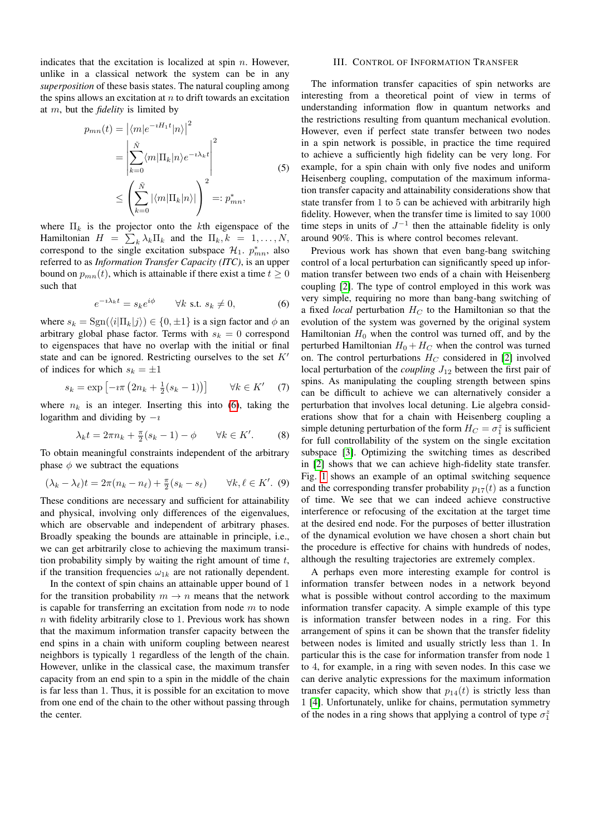indicates that the excitation is localized at spin  $n$ . However, unlike in a classical network the system can be in any *superposition* of these basis states. The natural coupling among the spins allows an excitation at  $n$  to drift towards an excitation at m, but the *fidelity* is limited by

$$
p_{mn}(t) = |\langle m|e^{-iH_1t}|n\rangle|^2
$$
  
= 
$$
\left| \sum_{k=0}^{\tilde{N}} \langle m|\Pi_k|n\rangle e^{-i\lambda_k t} \right|^2
$$
  

$$
\leq \left( \sum_{k=0}^{\tilde{N}} |\langle m|\Pi_k|n\rangle| \right)^2 =: p_{mn}^*,
$$
 (5)

where  $\Pi_k$  is the projector onto the kth eigenspace of the Hamiltonian  $H = \sum_k \lambda_k \Pi_k$  and the  $\Pi_k, k = 1, \dots, N$ , correspond to the single excitation subspace  $\mathcal{H}_1$ .  $p_{mn}^*$ , also referred to as *Information Transfer Capacity (ITC)*, is an upper bound on  $p_{mn}(t)$ , which is attainable if there exist a time  $t \geq 0$ such that

<span id="page-1-0"></span>
$$
e^{-i\lambda_k t} = s_k e^{i\phi} \qquad \forall k \text{ s.t. } s_k \neq 0,
$$
 (6)

where  $s_k = \text{Sgn}(\langle i | \Pi_k | j \rangle) \in \{0, \pm 1\}$  is a sign factor and  $\phi$  and arbitrary global phase factor. Terms with  $s_k = 0$  correspond to eigenspaces that have no overlap with the initial or final state and can be ignored. Restricting ourselves to the set  $K'$ of indices for which  $s_k = \pm 1$ 

$$
s_k = \exp\left[-i\pi \left(2n_k + \frac{1}{2}(s_k - 1)\right)\right] \qquad \forall k \in K'
$$
 (7)

where  $n_k$  is an integer. Inserting this into [\(6\)](#page-1-0), taking the logarithm and dividing by  $-i$ 

$$
\lambda_k t = 2\pi n_k + \frac{\pi}{2}(s_k - 1) - \phi \qquad \forall k \in K'. \tag{8}
$$

To obtain meaningful constraints independent of the arbitrary phase  $\phi$  we subtract the equations

$$
(\lambda_k - \lambda_\ell)t = 2\pi (n_k - n_\ell) + \frac{\pi}{2}(s_k - s_\ell) \qquad \forall k, \ell \in K'. (9)
$$

These conditions are necessary and sufficient for attainability and physical, involving only differences of the eigenvalues, which are observable and independent of arbitrary phases. Broadly speaking the bounds are attainable in principle, i.e., we can get arbitrarily close to achieving the maximum transition probability simply by waiting the right amount of time  $t$ , if the transition frequencies  $\omega_{1k}$  are not rationally dependent.

In the context of spin chains an attainable upper bound of 1 for the transition probability  $m \to n$  means that the network is capable for transferring an excitation from node  $m$  to node n with fidelity arbitrarily close to 1. Previous work has shown that the maximum information transfer capacity between the end spins in a chain with uniform coupling between nearest neighbors is typically 1 regardless of the length of the chain. However, unlike in the classical case, the maximum transfer capacity from an end spin to a spin in the middle of the chain is far less than 1. Thus, it is possible for an excitation to move from one end of the chain to the other without passing through the center.

# III. CONTROL OF INFORMATION TRANSFER

The information transfer capacities of spin networks are interesting from a theoretical point of view in terms of understanding information flow in quantum networks and the restrictions resulting from quantum mechanical evolution. However, even if perfect state transfer between two nodes in a spin network is possible, in practice the time required to achieve a sufficiently high fidelity can be very long. For example, for a spin chain with only five nodes and uniform Heisenberg coupling, computation of the maximum information transfer capacity and attainability considerations show that state transfer from 1 to 5 can be achieved with arbitrarily high fidelity. However, when the transfer time is limited to say 1000 time steps in units of  $J^{-1}$  then the attainable fidelity is only around 90%. This is where control becomes relevant.

Previous work has shown that even bang-bang switching control of a local perturbation can significantly speed up information transfer between two ends of a chain with Heisenberg coupling [\[2\]](#page-4-1). The type of control employed in this work was very simple, requiring no more than bang-bang switching of a fixed *local* perturbation  $H_C$  to the Hamiltonian so that the evolution of the system was governed by the original system Hamiltonian  $H_0$  when the control was turned off, and by the perturbed Hamiltonian  $H_0 + H_C$  when the control was turned on. The control perturbations  $H_C$  considered in [\[2\]](#page-4-1) involved local perturbation of the *coupling*  $J_{12}$  between the first pair of spins. As manipulating the coupling strength between spins can be difficult to achieve we can alternatively consider a perturbation that involves local detuning. Lie algebra considerations show that for a chain with Heisenberg coupling a simple detuning perturbation of the form  $H_C = \sigma_1^z$  is sufficient for full controllability of the system on the single excitation subspace [\[3\]](#page-4-2). Optimizing the switching times as described in [\[2\]](#page-4-1) shows that we can achieve high-fidelity state transfer. Fig. [1](#page-2-0) shows an example of an optimal switching sequence and the corresponding transfer probability  $p_{17}(t)$  as a function of time. We see that we can indeed achieve constructive interference or refocusing of the excitation at the target time at the desired end node. For the purposes of better illustration of the dynamical evolution we have chosen a short chain but the procedure is effective for chains with hundreds of nodes, although the resulting trajectories are extremely complex.

A perhaps even more interesting example for control is information transfer between nodes in a network beyond what is possible without control according to the maximum information transfer capacity. A simple example of this type is information transfer between nodes in a ring. For this arrangement of spins it can be shown that the transfer fidelity between nodes is limited and usually strictly less than 1. In particular this is the case for information transfer from node 1 to 4, for example, in a ring with seven nodes. In this case we can derive analytic expressions for the maximum information transfer capacity, which show that  $p_{14}(t)$  is strictly less than 1 [\[4\]](#page-4-3). Unfortunately, unlike for chains, permutation symmetry of the nodes in a ring shows that applying a control of type  $\sigma_1^2$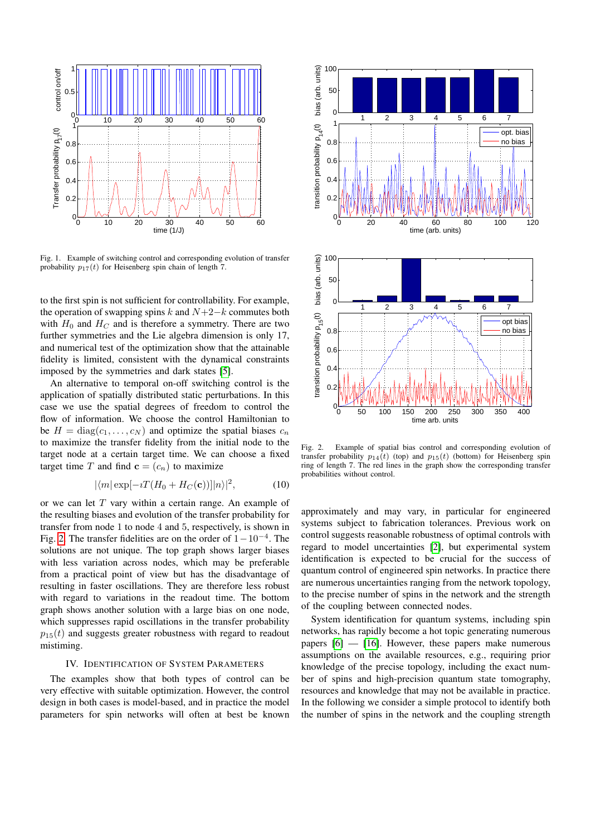

<span id="page-2-0"></span>Fig. 1. Example of switching control and corresponding evolution of transfer probability  $p_{17}(t)$  for Heisenberg spin chain of length 7.

to the first spin is not sufficient for controllability. For example, the operation of swapping spins k and  $N+2-k$  commutes both with  $H_0$  and  $H_C$  and is therefore a symmetry. There are two further symmetries and the Lie algebra dimension is only 17, and numerical test of the optimization show that the attainable fidelity is limited, consistent with the dynamical constraints imposed by the symmetries and dark states [\[5\]](#page-4-4).

An alternative to temporal on-off switching control is the application of spatially distributed static perturbations. In this case we use the spatial degrees of freedom to control the flow of information. We choose the control Hamiltonian to be  $H = diag(c_1, \ldots, c_N)$  and optimize the spatial biases  $c_n$ to maximize the transfer fidelity from the initial node to the target node at a certain target time. We can choose a fixed target time T and find  $c = (c_n)$  to maximize

$$
|\langle m|\exp[-i\mathcal{T}(H_0 + H_C(\mathbf{c}))]|n\rangle|^2, \tag{10}
$$

or we can let  $T$  vary within a certain range. An example of the resulting biases and evolution of the transfer probability for transfer from node 1 to node 4 and 5, respectively, is shown in Fig. [2.](#page-2-1) The transfer fidelities are on the order of  $1-10^{-4}$ . The solutions are not unique. The top graph shows larger biases with less variation across nodes, which may be preferable from a practical point of view but has the disadvantage of resulting in faster oscillations. They are therefore less robust with regard to variations in the readout time. The bottom graph shows another solution with a large bias on one node, which suppresses rapid oscillations in the transfer probability  $p_{15}(t)$  and suggests greater robustness with regard to readout mistiming.

# IV. IDENTIFICATION OF SYSTEM PARAMETERS

The examples show that both types of control can be very effective with suitable optimization. However, the control design in both cases is model-based, and in practice the model parameters for spin networks will often at best be known



<span id="page-2-1"></span>Fig. 2. Example of spatial bias control and corresponding evolution of transfer probability  $p_{14}(t)$  (top) and  $p_{15}(t)$  (bottom) for Heisenberg spin ring of length 7. The red lines in the graph show the corresponding transfer probabilities without control.

approximately and may vary, in particular for engineered systems subject to fabrication tolerances. Previous work on control suggests reasonable robustness of optimal controls with regard to model uncertainties [\[2\]](#page-4-1), but experimental system identification is expected to be crucial for the success of quantum control of engineered spin networks. In practice there are numerous uncertainties ranging from the network topology, to the precise number of spins in the network and the strength of the coupling between connected nodes.

System identification for quantum systems, including spin networks, has rapidly become a hot topic generating numerous papers  $[6]$  —  $[16]$ . However, these papers make numerous assumptions on the available resources, e.g., requiring prior knowledge of the precise topology, including the exact number of spins and high-precision quantum state tomography, resources and knowledge that may not be available in practice. In the following we consider a simple protocol to identify both the number of spins in the network and the coupling strength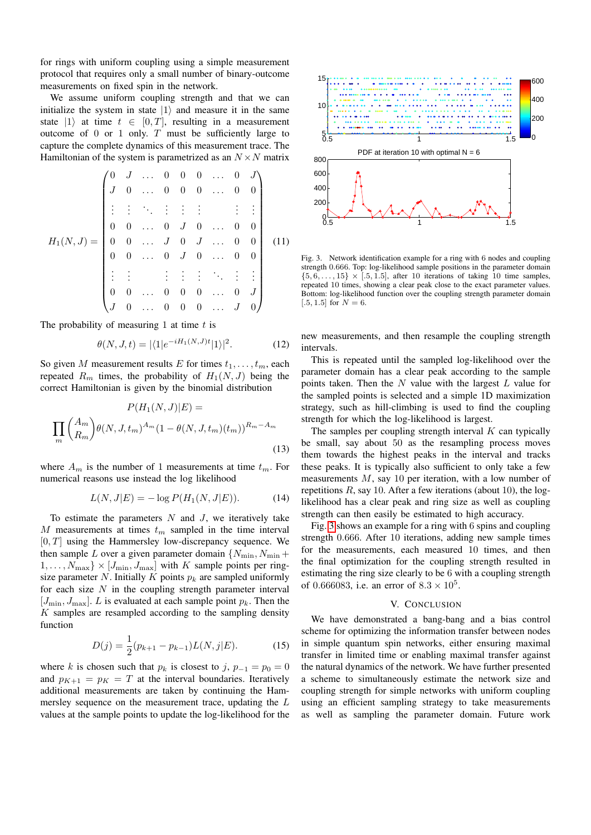for rings with uniform coupling using a simple measurement protocol that requires only a small number of binary-outcome measurements on fixed spin in the network.

We assume uniform coupling strength and that we can initialize the system in state  $|1\rangle$  and measure it in the same state  $|1\rangle$  at time  $t \in [0, T]$ , resulting in a measurement outcome of  $0$  or  $1$  only.  $T$  must be sufficiently large to capture the complete dynamics of this measurement trace. The Hamiltonian of the system is parametrized as an  $N \times N$  matrix

$$
H_1(N,J) = \begin{pmatrix} 0 & J & \dots & 0 & 0 & 0 & \dots & 0 & J \\ J & 0 & \dots & 0 & 0 & 0 & \dots & 0 & 0 \\ \vdots & \vdots & \ddots & \vdots & \vdots & \vdots & & \vdots & \vdots \\ 0 & 0 & \dots & 0 & J & 0 & \dots & 0 & 0 \\ 0 & 0 & \dots & J & 0 & J & \dots & 0 & 0 \\ 0 & 0 & \dots & 0 & J & 0 & \dots & 0 & 0 \\ \vdots & \vdots & \vdots & \vdots & \vdots & \ddots & \vdots & \vdots \\ 0 & 0 & \dots & 0 & 0 & 0 & \dots & 0 & J \\ J & 0 & \dots & 0 & 0 & 0 & \dots & J & 0 \end{pmatrix}
$$
 (11)

The probability of measuring 1 at time  $t$  is

$$
\theta(N,J,t) = |\langle 1|e^{-iH_1(N,J)t}|1\rangle|^2.
$$
 (12)

So given M measurement results E for times  $t_1, \ldots, t_m$ , each repeated  $R_m$  times, the probability of  $H_1(N, J)$  being the correct Hamiltonian is given by the binomial distribution

$$
P(H_1(N, J)|E) =
$$
  

$$
\prod_{m} {A_m \choose R_m} \theta(N, J, t_m)^{A_m} (1 - \theta(N, J, t_m)(t_m))^{R_m - A_m}
$$
  
(13)

where  $A_m$  is the number of 1 measurements at time  $t_m$ . For numerical reasons use instead the log likelihood

$$
L(N, J|E) = -\log P(H_1(N, J|E)).
$$
 (14)

To estimate the parameters  $N$  and  $J$ , we iteratively take M measurements at times  $t_m$  sampled in the time interval  $[0, T]$  using the Hammersley low-discrepancy sequence. We then sample L over a given parameter domain  $\{N_{\min}, N_{\min} +$  $1, \ldots, N_{\text{max}} \times [J_{\text{min}}, J_{\text{max}}]$  with K sample points per ringsize parameter  $N$ . Initially  $K$  points  $p_k$  are sampled uniformly for each size  $N$  in the coupling strength parameter interval  $[J_{\min}, J_{\max}]$ . L is evaluated at each sample point  $p_k$ . Then the  $K$  samples are resampled according to the sampling density function

$$
D(j) = \frac{1}{2}(p_{k+1} - p_{k-1})L(N, j|E).
$$
 (15)

where k is chosen such that  $p_k$  is closest to j,  $p_{-1} = p_0 = 0$ and  $p_{K+1} = p_K = T$  at the interval boundaries. Iteratively additional measurements are taken by continuing the Hammersley sequence on the measurement trace, updating the L values at the sample points to update the log-likelihood for the



<span id="page-3-0"></span>Fig. 3. Network identification example for a ring with 6 nodes and coupling strength 0.666. Top: log-likelihood sample positions in the parameter domain  $\{5, 6, \ldots, 15\} \times [.5, 1.5]$ , after 10 iterations of taking 10 time samples, repeated 10 times, showing a clear peak close to the exact parameter values. Bottom: log-likelihood function over the coupling strength parameter domain [.5, 1.5] for  $N = 6$ .

new measurements, and then resample the coupling strength intervals.

This is repeated until the sampled log-likelihood over the parameter domain has a clear peak according to the sample points taken. Then the  $N$  value with the largest  $L$  value for the sampled points is selected and a simple 1D maximization strategy, such as hill-climbing is used to find the coupling strength for which the log-likelihood is largest.

The samples per coupling strength interval  $K$  can typically be small, say about 50 as the resampling process moves them towards the highest peaks in the interval and tracks these peaks. It is typically also sufficient to only take a few measurements  $M$ , say 10 per iteration, with a low number of repetitions  $R$ , say 10. After a few iterations (about 10), the loglikelihood has a clear peak and ring size as well as coupling strength can then easily be estimated to high accuracy.

Fig. [3](#page-3-0) shows an example for a ring with 6 spins and coupling strength 0.666. After 10 iterations, adding new sample times for the measurements, each measured 10 times, and then the final optimization for the coupling strength resulted in estimating the ring size clearly to be 6 with a coupling strength of 0.666083, i.e. an error of  $8.3 \times 10^5$ .

# V. CONCLUSION

We have demonstrated a bang-bang and a bias control scheme for optimizing the information transfer between nodes in simple quantum spin networks, either ensuring maximal transfer in limited time or enabling maximal transfer against the natural dynamics of the network. We have further presented a scheme to simultaneously estimate the network size and coupling strength for simple networks with uniform coupling using an efficient sampling strategy to take measurements as well as sampling the parameter domain. Future work